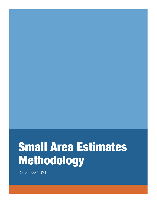# Small Area Estimates Methodology

December 2021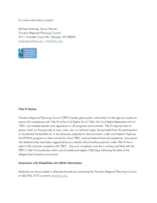For more information contact:

Michael Ambrogi, Senior Planner Thurston Regional Planning Council 2411 Chandler Court SW, Olympia, WA 98502 [ambrogim@trpc.org](mailto:ambrogim@trpc.org) | [info@trpc.org](mailto:info@trpc.org) 



#### Title VI Notice

Thurston Regional Planning Council (TRPC) hereby gives public notice that it is the agency's policy to assure full compliance with Title VI of the Civil Rights Act of 1964, the Civil Rights Restoration Act of 1987, and related statutes and regulations in all programs and activities. Title VI requires that no person shall, on the grounds of race, color, sex, or national origin, be excluded from the participation in, be denied the benefits of, or be otherwise subjected to discrimination under any Federal Highway Aid (FHWA) program or other activity for which TRPC receives federal financial assistance. Any person who believes they have been aggrieved by an unlawful discriminatory practice under Title VI has a right to file a formal complaint with TRPC. Any such complaint must be in writing and filed with the TRPC's Title VI Coordinator within one hundred and eighty (180) days following the date of the alleged discriminatory occurrence.

#### Americans with Disabilities Act (ADA) Information

Materials can be provided in alternate formats by contacting the Thurston Regional Planning Council at 360.956.7575 or email [info@trpc.org.](mailto:info@trpc.org)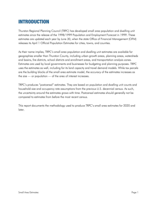## INTRODUCTION

Thurston Regional Planning Council (TRPC) has developed small area population and dwelling unit estimates since the release of the 1998/1999 Population and Employment Forecast in 1999. These estimates are updated each year by June 30, when the state Office of Financial Management (OFM) releases its April 1 Official Population Estimates for cities, towns, and counties.

As their name implies, TRPC's small area population and dwelling unit estimates are available for geographies smaller than Thurston County, including urban growth areas, planning areas, watersheds and basins, fire districts, school districts and enrollment areas, and transportation analysis zones. Estimates are used by local governments and businesses for budgeting and planning purposes. TRPC uses the estimates as well, including for its land capacity and travel demand models. While tax parcels are the building blocks of the small area estimate model, the accuracy of the estimates increases as the size — or population — of the area of interest increases.

TRPC's produces "postcensal" estimates. They are based on population and dwelling unit counts and household size and occupancy rate assumptions from the previous U.S. decennial census. As such, the uncertainty around the estimates grows with time. Postcensal estimates should generally not be compared to estimates from before the most recent census.

This report documents the methodology used to produce TRPC's small area estimates for 2020 and later.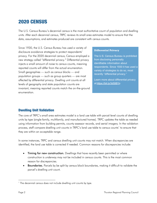# 2020 CENSUS

The U.S. Census Bureau's decennial census is the most authoritative count of population and dwelling units. After each decennial census, TRPC reviews its small area estimates model to ensure that the data, assumptions, and estimates produced are consistent with census counts.

Since 1930, the U.S. Census Bureau has used a variety of disclosure avoidance strategies to protect respondents' privacy. For the 2020 decennial census, Census employed a new strategy called "differential privacy." Differential privacy injects a small amount of noise to census counts, meaning reported counts will differ from the actual enumeration. Small geographies — such as census blocks — and population groups — such as group quarters — are most affected by differential privacy. Dwelling unit counts at all levels of geography and state population counts are invariant, meaning reported counts match the on-the-ground enumeration.

#### **Differential Privacy**

The U.S. Census Bureau is prohibited from disclosing personally identifiable information about respondents. Since 1930 it has used a variety of strategies to do so, most recently "differential privacy."

Learn more about differential privacy a[t https://bit.ly/3dStBYs.](https://bit.ly/3dStBYs)

## Dwelling Unit Validation

The core of TRPC's small area estimates model is a land use table with parcel-level counts of dwelling units by type (single-family, multifamily, and manufactured homes). TRPC updates the table as needed using information from building permits, county assessor records, and aerial imagery. In the validation process, staff compare dwelling unit counts in TRPC's land use table to census counts<sup>[1](#page-4-0)</sup> to ensure that they are within an acceptable range.

In some instances, TRPC and census dwelling unit counts may not match. When discrepancies are identified, the land use table is corrected if needed. Common reasons for discrepancies include:

- Timing for new construction. Dwellings that have recently been permitted or where construction is underway may not be included in census counts. This is the most common reason for discrepancies.
- Boundaries. Parcels by be split by census block boundaries, making it difficult to validate the parcel's dwelling unit count.

<span id="page-4-0"></span><sup>&</sup>lt;sup>1</sup> The decennial census does not include dwelling unit counts by type.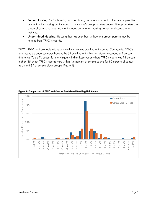- Senior Housing. Senior housing, assisted living, and memory care facilities my be permitted as multifamily housing but included in the census's group quarters counts. Group quarters are a type of communal housing that includes dormitories, nursing homes, and correctional facilities.
- Unpermitted Housing. Housing that has been built without the proper permits may be missing from TRPC's records.

TRPC's 2020 land use table aligns very well with census dwelling unit counts. Countywide, TRPC's land use table underestimates housing by 64 dwelling units. No jurisdiction exceeded a 5 percent difference (Table 1), except for the Nisqually Indian Reservation where TRPC's count was 16 percent higher (35 units). TRPC's counts were within five percent of census counts for 90 percent of census tracts and 87 of census block groups (Figure 1).



Figure 1: Comparison of TRPC and Census Tract-Level Dwelling Unit Counts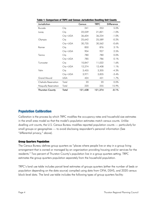| Jurisdiction                |            | Census  | <b>TRPC</b> | <b>Difference</b> |
|-----------------------------|------------|---------|-------------|-------------------|
| Bucoda                      | City       | 241     | 253         | 5.0%              |
| Lacey                       | City       | 22,039  | 21,821      | $-1.0%$           |
|                             | $City+UGA$ | 36,604  | 36,234      | $-1.0%$           |
| Olympia                     | City       | 25,642  | 25,589      | $-0.2%$           |
|                             | $City+UGA$ | 30,735  | 30,562      | $-0.6%$           |
| Rainier                     | City       | 850     | 876         | 3.1%              |
|                             | $City+UGA$ | 904     | 927         | 2.5%              |
| Tenino                      | City       | 780     | 780         | 0.0%              |
|                             | $City+UGA$ | 785     | 786         | 0.1%              |
| Tumwater                    | City       | 10,847  | 11,022      | 1.6%              |
|                             | $City+UGA$ | 12,274  | 12,408      | 1.1%              |
| Yelm                        | City       | 3,455   | 3,305       | $-4.3%$           |
|                             | $City+UGA$ | 3,971   | 3,835       | $-3.4%$           |
| <b>Grand Mound</b>          | <b>UGA</b> | 424     | 431         | 1.7%              |
| <b>Chehalis Reservation</b> | Total      | 20      | 20          | 0.0%              |
| Nisqually Reservation       | Total      | 220     | 255         | 15.9%             |
| <b>Thurston County</b>      | Total      | 121,438 | 121,374     | $-0.1%$           |

Table 1: Comparison of TRPC and Census Jurisdiction Dwelling Unit Counts

## Population Calibration

Calibration is the process by which TRPC modifies the occupancy rates and household size estimates in the small area model so that the model's population estimates match census counts. Unlike dwelling unit counts, the U.S. Census Bureau modifies reported population counts — particularly for small groups or geographies — to avoid disclosing respondent's personal information (See "differential privacy," above).

#### Group Quarters Population

The Census Bureau defines group quarters as "places where people live or stay in a group living arrangement that is owned or managed by an organization providing housing and/or services for the residents." Two percent of Thurston County's population live in a group quarters setting. TRPC estimates the group quarters population separately from the household population.

TRPC's land use table includes parcel-level estimates of groups quarters (either the number of beds or population depending on the data source) compiled using data from OFM, DSHS, and 2020 census block-level data. The land use table includes the following types of group quarters facility: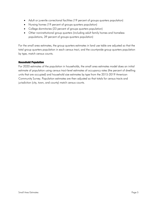- Adult or juvenile correctional facilities (19 percent of groups quarters population)
- Nursing homes (19 percent of groups quarters population)
- College dormitories (23 percent of groups quarters population)
- Other noninstitutional group quarters (including adult family homes and homeless populations, 39 percent of groups quarters population)

For the small area estimates, the group quarters estimates in land use table are adjusted so that the total group quarters population in each census tract, and the countywide group quarters population by type, match census counts.

#### Household Population

For 2020 estimates of the population in households, the small area estimates model does an initial estimate of population using census tract-level estimates of occupancy rates (the percent of dwelling units that are occupied) and household size estimates by type from the 2015-2019 American Community Survey. Population estimates are then adjusted so that totals for census tracts and jurisdiction (city, town, and county) match census counts.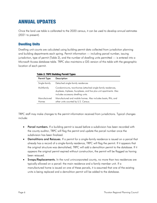# ANNUAL UPDATES

Once the land use table is calibrated to the 2020 census, it can be used to develop annual estimates (2021 to present).

## Dwelling Units

Dwelling unit counts are calculated using building permit data collected from jurisdiction planning and building departments each spring. Permit information — including parcel number, issuing jurisdiction, type of permit (Table 2), and the number of dwelling units permitted — is entered into a Microsoft Access database table. TRPC also maintains a GIS version of this table with the geographic location of each permit.

| <b>Permit Type</b>           | <b>Description</b>                                                                                                                                                        |  |  |  |
|------------------------------|---------------------------------------------------------------------------------------------------------------------------------------------------------------------------|--|--|--|
| Single-family                | Detached single-family residences                                                                                                                                         |  |  |  |
| Multifamily                  | Condominiums, townhomes (attached single-family residences,<br>duplexes, triplexes, fourplexes, and five plus unit apartments. Also<br>includes accessory dwelling units. |  |  |  |
| Manufactured<br><b>Homes</b> | Manufactured and mobile homes. Also includes boats, RVs, and<br>other units counted by U.S. Census.                                                                       |  |  |  |

#### Table 2: TRPC Building Permit Types

TRPC staff may make changes to the permit information received from jurisdictions. Typical changes include:

- Parcel numbers. If a building permit is issued before a subdivision has been recorded with the county auditor, TRPC will flag the permit and update the parcel number once the subdivision has been finalized.
- Demolitions and Reissues. If a permit for a single-family residence is issued on a parcel that already has a record of a single-family residence, TRPC will flag the permit. If it appears that the original structure was demolished, TRPC will add a demolition permit to the database. If it appears the original permit expired without construction, the permit will be flagged as having been reissued.
- Swaps/Replacements. In the rural unincorporated county, no more than two residences are typically allowed on a parcel: the main residence and a family member unit. If a manufactured home is issued on one of these parcels, it is assumed that one of the existing units is being replaced and a demolition permit will be added to the database.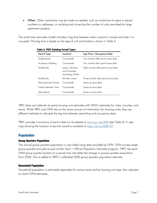• Other. Other corrections may be made as needed, such as corrections to typos in parcel numbers or addresses, or verifying and correcting the number of units permitted for large apartment projects.

The small area estimates model includes a lag time between when a permit is issued and when it is occupied. This lag time is based on the type of unit and location, shown in Table 3.

| Permit Type                | Location                                            | Lag Time / Occupancy Date            |  |  |  |
|----------------------------|-----------------------------------------------------|--------------------------------------|--|--|--|
| Single-family              | Countywide                                          | Two months after permit issue date   |  |  |  |
| <b>Accessory Dwelling</b>  | Countywide                                          | Two months after permit issue date   |  |  |  |
| Multifamily                | Lacey, Olympia,<br>and Tumwater<br>(including UGAs) | Eight months after permit issue date |  |  |  |
| Multifamily                | All other areas                                     | Three months after permit issue date |  |  |  |
| Manufactured Homes         | Countywide                                          | Same as issue date                   |  |  |  |
| <b>Family Member Units</b> | Countywide                                          | Same as issue date                   |  |  |  |
| Demolitions                | Countywide                                          | Same as issue date                   |  |  |  |
|                            |                                                     |                                      |  |  |  |

#### Table 3: TRPC Building Permit Types

TRPC does not calibrate its yearly housing unit estimates with OFM's estimates for cities, counties, and towns. While TRPC and OFM rely on the same sources of information for housing units, they use different methods to calculate the lag time between permitting and occupancy date.

TRPC provides a summary of permit data on its website at [www.trpc.org/480](http://www.trpc.org/480) (see Table 6). A web map showing the location of permits issued is available at [https://bit.ly/33kR1DT.](https://bit.ly/33kR1DT)

## Population

#### Group Quarters Population

The annual group quarters population is calculated using data provided by OFM. OFM surveys larger group quarters annually as part of their April 1 Official Population Estimates program. TRPC ties each OFM group quarter location to a parcel and calculates the change in groups quarters population from 2020. This is added to TRPC's calibrated 2020 group quarters population estimate.

#### Household Population

Household population is estimated separately for census tracts and by housing unit type, then adjusted to match OFM estimates.